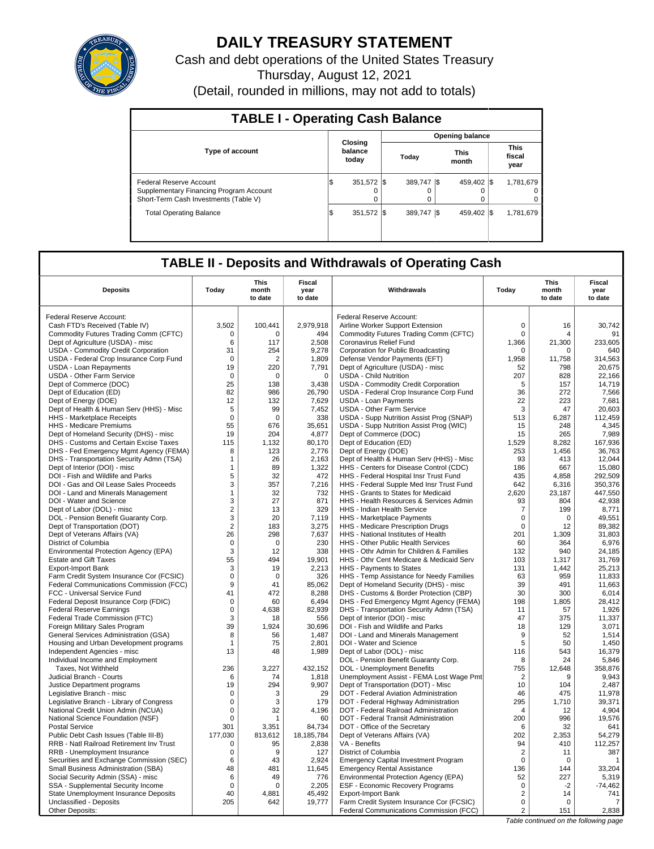

# **DAILY TREASURY STATEMENT**

Cash and debt operations of the United States Treasury Thursday, August 12, 2021 (Detail, rounded in millions, may not add to totals)

| <b>TABLE I - Operating Cash Balance</b>                                                                     |                             |  |  |                         |  |                        |  |                                   |  |  |  |  |  |
|-------------------------------------------------------------------------------------------------------------|-----------------------------|--|--|-------------------------|--|------------------------|--|-----------------------------------|--|--|--|--|--|
|                                                                                                             |                             |  |  |                         |  | <b>Opening balance</b> |  |                                   |  |  |  |  |  |
| <b>Type of account</b>                                                                                      | Closing<br>balance<br>today |  |  | Today                   |  | <b>This</b><br>month   |  | <b>This</b><br>fiscal<br>year     |  |  |  |  |  |
| Federal Reserve Account<br>Supplementary Financing Program Account<br>Short-Term Cash Investments (Table V) | 351,572   \$<br>lS.         |  |  | 389.747 \\$<br>$\Omega$ |  | 459.402 \\$            |  | 1,781,679<br>$\Omega$<br>$\Omega$ |  |  |  |  |  |
| <b>Total Operating Balance</b>                                                                              | 351.572 \\$<br>I\$          |  |  | 389.747 \\$             |  | 459.402 \\$            |  | 1,781,679                         |  |  |  |  |  |

## **TABLE II - Deposits and Withdrawals of Operating Cash**

| <b>Deposits</b>                                                       | Today                | <b>This</b><br>month<br>to date | Fiscal<br>year<br>to date | Withdrawals                                                                       | Today          | <b>This</b><br>month<br>to date | <b>Fiscal</b><br>year<br>to date |
|-----------------------------------------------------------------------|----------------------|---------------------------------|---------------------------|-----------------------------------------------------------------------------------|----------------|---------------------------------|----------------------------------|
| Federal Reserve Account:                                              |                      |                                 |                           | Federal Reserve Account:                                                          |                |                                 |                                  |
| Cash FTD's Received (Table IV)                                        | 3,502                | 100,441                         | 2,979,918                 | Airline Worker Support Extension                                                  | 0              | 16                              | 30.742                           |
| Commodity Futures Trading Comm (CFTC)                                 | 0                    | $\Omega$                        | 494                       | Commodity Futures Trading Comm (CFTC)                                             | 0              | 4                               | 91                               |
| Dept of Agriculture (USDA) - misc                                     | 6                    | 117                             | 2,508                     | Coronavirus Relief Fund                                                           | 1,366          | 21,300                          | 233,605                          |
| <b>USDA - Commodity Credit Corporation</b>                            | 31                   | 254                             | 9,278                     | Corporation for Public Broadcasting                                               | 0              | $\Omega$                        | 640                              |
| USDA - Federal Crop Insurance Corp Fund                               | $\mathbf 0$          | $\overline{2}$                  | 1,809                     | Defense Vendor Payments (EFT)                                                     | 1,958          | 11,758                          | 314,563                          |
| <b>USDA - Loan Repayments</b>                                         | 19                   | 220                             | 7,791                     | Dept of Agriculture (USDA) - misc                                                 | 52             | 798                             | 20.675                           |
| USDA - Other Farm Service                                             | $\mathbf 0$          | $\Omega$                        | $\mathbf 0$               | <b>USDA - Child Nutrition</b>                                                     | 207            | 828                             | 22,166                           |
| Dept of Commerce (DOC)                                                | 25                   | 138                             | 3,438                     | USDA - Commodity Credit Corporation                                               | 5              | 157                             | 14.719                           |
| Dept of Education (ED)                                                | 82                   | 986                             | 26,790                    | USDA - Federal Crop Insurance Corp Fund                                           | 36             | 272                             | 7,566                            |
| Dept of Energy (DOE)                                                  | 12                   | 132                             | 7,629                     | <b>USDA - Loan Payments</b>                                                       | 22             | 223                             | 7,681                            |
| Dept of Health & Human Serv (HHS) - Misc                              | 5                    | 99                              | 7.452                     | <b>USDA - Other Farm Service</b>                                                  | 3              | 47                              | 20.603                           |
| HHS - Marketplace Receipts                                            | $\mathbf 0$          | $\mathbf 0$                     | 338                       | USDA - Supp Nutrition Assist Prog (SNAP)                                          | 513            | 6,287                           | 112,459                          |
| HHS - Medicare Premiums                                               | 55                   | 676                             | 35,651                    | USDA - Supp Nutrition Assist Prog (WIC)                                           | 15             | 248                             | 4,345                            |
| Dept of Homeland Security (DHS) - misc                                | 19                   | 204                             | 4,877                     | Dept of Commerce (DOC)                                                            | 15             | 265                             | 7,989                            |
| DHS - Customs and Certain Excise Taxes                                | 115                  | 1,132                           | 80,170                    | Dept of Education (ED)                                                            | 1,529          | 8,282                           | 167,936                          |
| DHS - Fed Emergency Mgmt Agency (FEMA)                                | 8                    | 123                             | 2,776                     | Dept of Energy (DOE)                                                              | 253            | 1,456                           | 36,763                           |
| DHS - Transportation Security Admn (TSA)                              | 1                    | 26                              | 2,163                     | Dept of Health & Human Serv (HHS) - Misc                                          | 93             | 413                             | 12,044                           |
| Dept of Interior (DOI) - misc                                         | 1                    | 89                              | 1,322                     | HHS - Centers for Disease Control (CDC)                                           | 186            | 667                             | 15,080                           |
| DOI - Fish and Wildlife and Parks                                     | 5                    | 32                              | 472                       | HHS - Federal Hospital Insr Trust Fund                                            | 435            | 4,858                           | 292,509                          |
| DOI - Gas and Oil Lease Sales Proceeds                                | 3                    | 357                             | 7,216                     | HHS - Federal Supple Med Insr Trust Fund                                          | 642            | 6.316                           | 350.376                          |
| DOI - Land and Minerals Management                                    | $\mathbf{1}$         | 32                              | 732                       | HHS - Grants to States for Medicaid                                               | 2,620          | 23,187                          | 447,550                          |
| DOI - Water and Science                                               | 3                    | 27                              | 871                       | HHS - Health Resources & Services Admin                                           | 93             | 804                             | 42,938                           |
| Dept of Labor (DOL) - misc                                            | $\overline{2}$       | 13                              | 329                       | <b>HHS - Indian Health Service</b>                                                | $\overline{7}$ | 199                             | 8,771                            |
| DOL - Pension Benefit Guaranty Corp.                                  | 3                    | 20                              | 7,119                     | HHS - Marketplace Payments                                                        | $\mathbf 0$    | $\Omega$                        | 49,551                           |
| Dept of Transportation (DOT)                                          | 2                    | 183                             | 3,275                     | HHS - Medicare Prescription Drugs                                                 | $\Omega$       | 12                              | 89,382                           |
| Dept of Veterans Affairs (VA)                                         | 26                   | 298                             | 7,637                     | HHS - National Institutes of Health                                               | 201            | 1,309                           | 31,803                           |
| District of Columbia                                                  | $\Omega$             | $\Omega$                        | 230                       | HHS - Other Public Health Services                                                | 60             | 364                             | 6,976                            |
| Environmental Protection Agency (EPA)                                 | 3                    | 12                              | 338                       | HHS - Othr Admin for Children & Families                                          | 132            | 940                             | 24.185                           |
| <b>Estate and Gift Taxes</b>                                          | 55                   | 494                             | 19,901                    | HHS - Othr Cent Medicare & Medicaid Serv                                          | 103            | 1,317                           | 31,769                           |
| <b>Export-Import Bank</b>                                             | 3                    | 19                              | 2,213                     | HHS - Payments to States                                                          | 131            | 1,442                           | 25,213                           |
| Farm Credit System Insurance Cor (FCSIC)                              | 0                    | $\mathbf 0$                     | 326                       | HHS - Temp Assistance for Needy Families                                          | 63             | 959                             | 11,833                           |
| Federal Communications Commission (FCC)                               | 9                    | 41                              | 85,062                    | Dept of Homeland Security (DHS) - misc                                            | 39<br>30       | 491                             | 11,663<br>6.014                  |
| FCC - Universal Service Fund<br>Federal Deposit Insurance Corp (FDIC) | 41<br>$\Omega$       | 472<br>60                       | 8,288<br>6,494            | DHS - Customs & Border Protection (CBP)<br>DHS - Fed Emergency Mgmt Agency (FEMA) | 198            | 300<br>1,805                    | 28,412                           |
| <b>Federal Reserve Earnings</b>                                       | 0                    | 4.638                           | 82,939                    | DHS - Transportation Security Admn (TSA)                                          | 11             | 57                              | 1,926                            |
| Federal Trade Commission (FTC)                                        | 3                    | 18                              | 556                       | Dept of Interior (DOI) - misc                                                     | 47             | 375                             | 11,337                           |
| Foreign Military Sales Program                                        | 39                   | 1,924                           | 30,696                    | DOI - Fish and Wildlife and Parks                                                 | 18             | 129                             | 3,071                            |
| <b>General Services Administration (GSA)</b>                          | 8                    | 56                              | 1.487                     | DOI - Land and Minerals Management                                                | 9              | 52                              | 1.514                            |
| Housing and Urban Development programs                                | $\blacktriangleleft$ | 75                              | 2,801                     | DOI - Water and Science                                                           | 5              | 50                              | 1,450                            |
| Independent Agencies - misc                                           | 13                   | 48                              | 1,989                     | Dept of Labor (DOL) - misc                                                        | 116            | 543                             | 16.379                           |
| Individual Income and Employment                                      |                      |                                 |                           | DOL - Pension Benefit Guaranty Corp.                                              | 8              | 24                              | 5,846                            |
| Taxes, Not Withheld                                                   | 236                  | 3.227                           | 432,152                   | DOL - Unemployment Benefits                                                       | 755            | 12,648                          | 358.876                          |
| Judicial Branch - Courts                                              | 6                    | 74                              | 1,818                     | Unemployment Assist - FEMA Lost Wage Pmt                                          | $\overline{2}$ | 9                               | 9,943                            |
| Justice Department programs                                           | 19                   | 294                             | 9,907                     | Dept of Transportation (DOT) - Misc                                               | 10             | 104                             | 2,487                            |
| Legislative Branch - misc                                             | $\Omega$             | 3                               | 29                        | DOT - Federal Aviation Administration                                             | 46             | 475                             | 11,978                           |
| Legislative Branch - Library of Congress                              | $\mathbf 0$          | 3                               | 179                       | DOT - Federal Highway Administration                                              | 295            | 1,710                           | 39,371                           |
| National Credit Union Admin (NCUA)                                    | $\Omega$             | 32                              | 4.196                     | DOT - Federal Railroad Administration                                             | $\Delta$       | 12                              | 4.904                            |
| National Science Foundation (NSF)                                     | $\mathbf 0$          | $\overline{1}$                  | 60                        | DOT - Federal Transit Administration                                              | 200            | 996                             | 19,576                           |
| <b>Postal Service</b>                                                 | 301                  | 3.351                           | 84.734                    | DOT - Office of the Secretary                                                     | 6              | 32                              | 641                              |
| Public Debt Cash Issues (Table III-B)                                 | 177,030              | 813,612                         | 18,185,784                | Dept of Veterans Affairs (VA)                                                     | 202            | 2,353                           | 54,279                           |
| RRB - Natl Railroad Retirement Inv Trust                              | $\Omega$             | 95                              | 2,838                     | VA - Benefits                                                                     | 94             | 410                             | 112,257                          |
| RRB - Unemployment Insurance                                          | $\mathbf 0$          | 9                               | 127                       | District of Columbia                                                              | $\overline{2}$ | 11                              | 387                              |
| Securities and Exchange Commission (SEC)                              | 6                    | 43                              | 2,924                     | <b>Emergency Capital Investment Program</b>                                       | $\mathbf 0$    | $\mathbf 0$                     | 1                                |
| Small Business Administration (SBA)                                   | 48                   | 481                             | 11,645                    | <b>Emergency Rental Assistance</b>                                                | 136            | 144                             | 33,204                           |
| Social Security Admin (SSA) - misc                                    | 6                    | 49                              | 776                       | Environmental Protection Agency (EPA)                                             | 52             | 227                             | 5,319                            |
| SSA - Supplemental Security Income                                    | $\mathbf 0$          | $\Omega$                        | 2,205                     | ESF - Economic Recovery Programs                                                  | $\mathbf 0$    | $-2$                            | $-74,462$                        |
| State Unemployment Insurance Deposits                                 | 40                   | 4,881                           | 45,492                    | <b>Export-Import Bank</b>                                                         | 2              | 14                              | 741                              |
| Unclassified - Deposits                                               | 205                  | 642                             | 19,777                    | Farm Credit System Insurance Cor (FCSIC)                                          | 0              | $\Omega$                        | 7                                |
| Other Deposits:                                                       |                      |                                 |                           | Federal Communications Commission (FCC)                                           | $\overline{2}$ | 151                             | 2,838                            |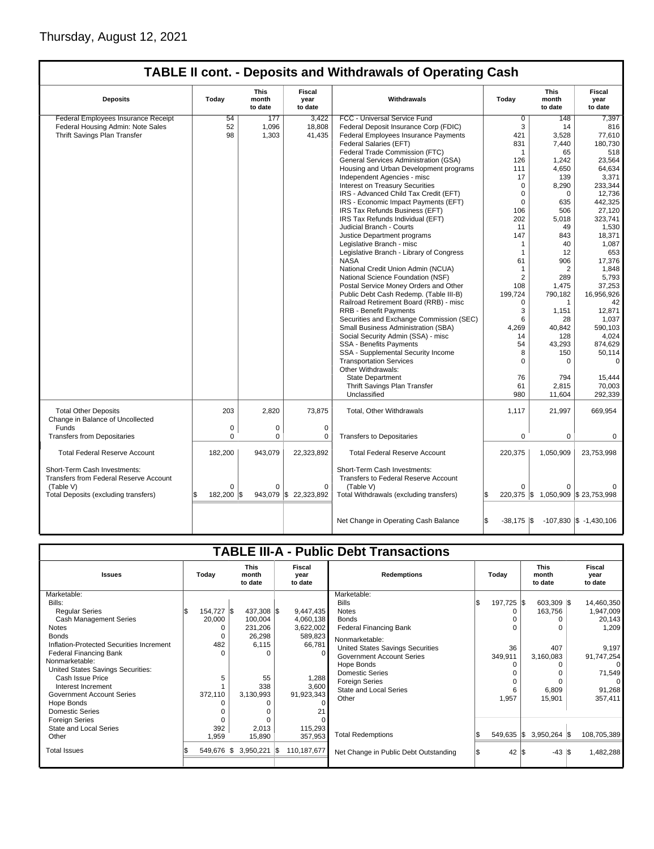|                                                                        |                  |                                 |                                  | TABLE II cont. - Deposits and Withdrawals of Operating Cash          |                     |                                    |                                    |
|------------------------------------------------------------------------|------------------|---------------------------------|----------------------------------|----------------------------------------------------------------------|---------------------|------------------------------------|------------------------------------|
| <b>Deposits</b>                                                        | Today            | <b>This</b><br>month<br>to date | <b>Fiscal</b><br>year<br>to date | Withdrawals                                                          | Today               | This<br>month<br>to date           | Fiscal<br>year<br>to date          |
| Federal Employees Insurance Receipt                                    | 54               | 177                             | 3,422                            | FCC - Universal Service Fund                                         | $\overline{0}$      | 148                                | 7,397                              |
| Federal Housing Admin: Note Sales                                      | 52               | 1,096                           | 18,808                           | Federal Deposit Insurance Corp (FDIC)                                | 3                   | 14                                 | 816                                |
| Thrift Savings Plan Transfer                                           | 98               | 1,303                           | 41,435                           | <b>Federal Employees Insurance Payments</b>                          | 421                 | 3,528                              | 77,610                             |
|                                                                        |                  |                                 |                                  | Federal Salaries (EFT)                                               | 831                 | 7,440                              | 180,730                            |
|                                                                        |                  |                                 |                                  | Federal Trade Commission (FTC)                                       | $\mathbf{1}$        | 65                                 | 518                                |
|                                                                        |                  |                                 |                                  | General Services Administration (GSA)                                | 126                 | 1,242                              | 23,564                             |
|                                                                        |                  |                                 |                                  | Housing and Urban Development programs                               | 111                 | 4,650                              | 64,634                             |
|                                                                        |                  |                                 |                                  | Independent Agencies - misc                                          | 17                  | 139                                | 3,371                              |
|                                                                        |                  |                                 |                                  | <b>Interest on Treasury Securities</b>                               | $\mathbf 0$         | 8,290                              | 233,344                            |
|                                                                        |                  |                                 |                                  | IRS - Advanced Child Tax Credit (EFT)                                | $\mathbf 0$         | 0                                  | 12.736                             |
|                                                                        |                  |                                 |                                  | IRS - Economic Impact Payments (EFT)                                 | $\mathbf 0$         | 635                                | 442,325                            |
|                                                                        |                  |                                 |                                  | IRS Tax Refunds Business (EFT)                                       | 106                 | 506                                | 27,120                             |
|                                                                        |                  |                                 |                                  | IRS Tax Refunds Individual (EFT)                                     | 202                 | 5,018                              | 323,741                            |
|                                                                        |                  |                                 |                                  | Judicial Branch - Courts                                             | 11                  | 49                                 | 1,530                              |
|                                                                        |                  |                                 |                                  | Justice Department programs                                          | 147                 | 843                                | 18,371                             |
|                                                                        |                  |                                 |                                  | Legislative Branch - misc                                            | $\mathbf{1}$        | 40                                 | 1,087                              |
|                                                                        |                  |                                 |                                  | Legislative Branch - Library of Congress                             | $\mathbf{1}$        | 12                                 | 653                                |
|                                                                        |                  |                                 |                                  | <b>NASA</b>                                                          | 61                  | 906                                | 17,376                             |
|                                                                        |                  |                                 |                                  | National Credit Union Admin (NCUA)                                   | $\mathbf{1}$        | 2                                  | 1,848                              |
|                                                                        |                  |                                 |                                  | National Science Foundation (NSF)                                    | 2                   | 289                                | 5,793                              |
|                                                                        |                  |                                 |                                  | Postal Service Money Orders and Other                                | 108                 | 1,475                              | 37,253                             |
|                                                                        |                  |                                 |                                  | Public Debt Cash Redemp. (Table III-B)                               | 199,724             | 790,182                            | 16,956,926                         |
|                                                                        |                  |                                 |                                  | Railroad Retirement Board (RRB) - misc                               | $\Omega$            | 1                                  | 42                                 |
|                                                                        |                  |                                 |                                  | <b>RRB - Benefit Payments</b>                                        | 3                   | 1,151                              | 12,871                             |
|                                                                        |                  |                                 |                                  | Securities and Exchange Commission (SEC)                             | 6                   | 28                                 | 1,037                              |
|                                                                        |                  |                                 |                                  | Small Business Administration (SBA)                                  | 4.269               | 40,842                             | 590,103                            |
|                                                                        |                  |                                 |                                  | Social Security Admin (SSA) - misc                                   | 14                  | 128                                | 4,024                              |
|                                                                        |                  |                                 |                                  | SSA - Benefits Payments                                              | 54                  | 43,293                             | 874,629                            |
|                                                                        |                  |                                 |                                  | SSA - Supplemental Security Income                                   | 8                   | 150                                | 50,114                             |
|                                                                        |                  |                                 |                                  | <b>Transportation Services</b>                                       | $\Omega$            | 0                                  | 0                                  |
|                                                                        |                  |                                 |                                  | Other Withdrawals:                                                   |                     |                                    |                                    |
|                                                                        |                  |                                 |                                  | <b>State Department</b>                                              | 76                  | 794                                | 15,444                             |
|                                                                        |                  |                                 |                                  | Thrift Savings Plan Transfer                                         | 61                  | 2,815                              | 70,003                             |
|                                                                        |                  |                                 |                                  | Unclassified                                                         | 980                 |                                    |                                    |
|                                                                        |                  |                                 |                                  |                                                                      |                     | 11,604                             | 292,339                            |
| <b>Total Other Deposits</b><br>Change in Balance of Uncollected        | 203              | 2.820                           | 73.875                           | Total, Other Withdrawals                                             | 1,117               | 21,997                             | 669.954                            |
| Funds                                                                  | $\mathbf 0$      | $\mathbf 0$                     | $\mathbf 0$                      |                                                                      |                     |                                    |                                    |
| <b>Transfers from Depositaries</b>                                     | $\Omega$         | 0                               | 0                                | <b>Transfers to Depositaries</b>                                     | $\Omega$            | 0                                  | $\mathbf 0$                        |
|                                                                        |                  |                                 |                                  |                                                                      |                     |                                    |                                    |
| <b>Total Federal Reserve Account</b>                                   | 182,200          | 943,079                         | 22,323,892                       | <b>Total Federal Reserve Account</b>                                 | 220,375             | 1,050,909                          | 23,753,998                         |
| Short-Term Cash Investments:<br>Transfers from Federal Reserve Account |                  |                                 |                                  | Short-Term Cash Investments:<br>Transfers to Federal Reserve Account |                     |                                    |                                    |
| (Table V)                                                              | 0                | $\Omega$                        | $\Omega$                         | (Table V)                                                            | $\Omega$            |                                    |                                    |
| Total Deposits (excluding transfers)                                   | 182,200 \$<br>\$ |                                 | 943,079 \$ 22,323,892            | Total Withdrawals (excluding transfers)                              | \$                  | 220,375 \$ 1,050,909 \$ 23,753,998 |                                    |
|                                                                        |                  |                                 |                                  | Net Change in Operating Cash Balance                                 | ß.<br>$-38,175$ \\$ |                                    | $-107,830$ $\vert$ \$ $-1,430,106$ |

|                                                       |       |            |     |                                 |     |                           | <b>TABLE III-A - Public Debt Transactions</b> |            |                                 |                           |
|-------------------------------------------------------|-------|------------|-----|---------------------------------|-----|---------------------------|-----------------------------------------------|------------|---------------------------------|---------------------------|
| <b>Issues</b>                                         | Today |            |     | <b>This</b><br>month<br>to date |     | Fiscal<br>year<br>to date | <b>Redemptions</b>                            | Todav      | <b>This</b><br>month<br>to date | Fiscal<br>year<br>to date |
| Marketable:                                           |       |            |     |                                 |     |                           | Marketable:                                   |            |                                 |                           |
| Bills:                                                |       |            |     |                                 |     |                           | <b>Bills</b>                                  | 197,725 \$ | 603,309 \$                      | 14,460,350                |
| <b>Reqular Series</b>                                 |       | 154,727 \$ |     | 437,308 \$                      |     | 9,447,435                 | <b>Notes</b>                                  | n          | 163,756                         | 1,947,009                 |
| <b>Cash Management Series</b><br><b>Notes</b>         |       | 20,000     |     | 100,004<br>231,206              |     | 4,060,138<br>3,622,002    | <b>Bonds</b><br><b>Federal Financing Bank</b> |            |                                 | 20,143<br>1,209           |
| <b>Bonds</b>                                          |       |            |     | 26,298                          |     |                           |                                               |            |                                 |                           |
| Inflation-Protected Securities Increment              |       | 482        |     | 6,115                           |     | 589,823<br>66,781         | Nonmarketable:                                |            |                                 |                           |
|                                                       |       | O          |     |                                 |     |                           | United States Savings Securities              | 36         | 407                             | 9,197                     |
| <b>Federal Financing Bank</b><br>Nonmarketable:       |       |            |     | $\Omega$                        |     | $\Omega$                  | <b>Government Account Series</b>              | 349,911    | 3,160,083                       | 91,747,254                |
|                                                       |       |            |     |                                 |     |                           | Hope Bonds                                    | $\Omega$   |                                 |                           |
| United States Savings Securities:<br>Cash Issue Price |       | 5          |     | 55                              |     | 1,288                     | <b>Domestic Series</b>                        |            |                                 | 71,549                    |
| Interest Increment                                    |       |            |     | 338                             |     | 3,600                     | Foreign Series                                |            |                                 |                           |
| Government Account Series                             |       | 372,110    |     | 3,130,993                       |     | 91,923,343                | <b>State and Local Series</b>                 | 6          | 6,809                           | 91,268                    |
| Hope Bonds                                            |       |            |     |                                 |     | $\Omega$                  | Other                                         | 1,957      | 15,901                          | 357,411                   |
| Domestic Series                                       |       |            |     |                                 |     |                           |                                               |            |                                 |                           |
| <b>Foreign Series</b>                                 |       |            |     |                                 |     |                           |                                               |            |                                 |                           |
| State and Local Series                                |       | 392        |     | 2,013                           |     | 115,293                   |                                               |            |                                 |                           |
| Other                                                 |       | 1,959      |     | 15,890                          |     | 357,953                   | <b>Total Redemptions</b>                      | 549,635 \$ | $3,950,264$ \$                  | 108,705,389               |
|                                                       |       |            |     |                                 |     |                           |                                               |            |                                 |                           |
| <b>Total Issues</b>                                   |       | 549,676    | l\$ | 3,950,221                       | 1\$ | 110,187,677               | Net Change in Public Debt Outstanding         | 42 S       | $-43$ \\$                       | 1,482,288                 |
|                                                       |       |            |     |                                 |     |                           |                                               |            |                                 |                           |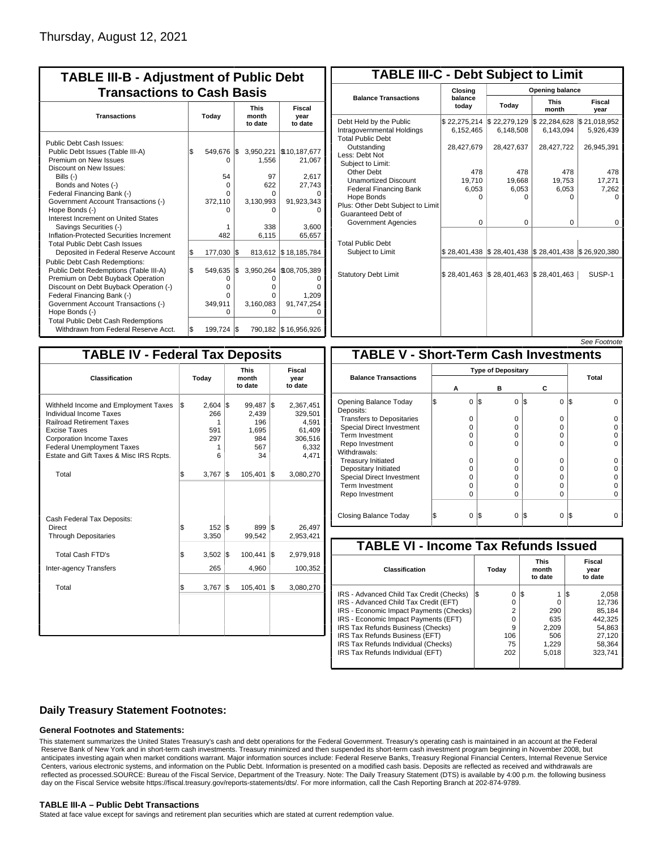| <b>TABLE III-B - Adjustment of Public Debt</b><br><b>Transactions to Cash Basis</b>                                                                                                                                                                                                                                                                                                                |           |                                                   |           |                                                                        |                                                                            |  |  |  |  |  |  |  |
|----------------------------------------------------------------------------------------------------------------------------------------------------------------------------------------------------------------------------------------------------------------------------------------------------------------------------------------------------------------------------------------------------|-----------|---------------------------------------------------|-----------|------------------------------------------------------------------------|----------------------------------------------------------------------------|--|--|--|--|--|--|--|
| <b>Transactions</b>                                                                                                                                                                                                                                                                                                                                                                                | Today     |                                                   |           | <b>This</b><br>month<br>to date                                        | <b>Fiscal</b><br>year<br>to date                                           |  |  |  |  |  |  |  |
| Public Debt Cash Issues:<br>Public Debt Issues (Table III-A)<br>Premium on New Issues<br>Discount on New Issues:<br>Bills $(-)$<br>Bonds and Notes (-)<br>Federal Financing Bank (-)<br>Government Account Transactions (-)<br>Hope Bonds (-)<br>Interest Increment on United States<br>Savings Securities (-)<br>Inflation-Protected Securities Increment<br><b>Total Public Debt Cash Issues</b> | \$        | 549,676<br>0<br>54<br>0<br>U<br>372,110<br>482    | I\$       | 3,950,221<br>1,556<br>97<br>622<br>O<br>3,130,993<br>ი<br>338<br>6,115 | \$10,187,677<br>21,067<br>2,617<br>27,743<br>91,923,343<br>3.600<br>65,657 |  |  |  |  |  |  |  |
| Deposited in Federal Reserve Account<br><b>Public Debt Cash Redemptions:</b><br>Public Debt Redemptions (Table III-A)<br>Premium on Debt Buyback Operation<br>Discount on Debt Buyback Operation (-)<br>Federal Financing Bank (-)<br>Government Account Transactions (-)<br>Hope Bonds (-)<br><b>Total Public Debt Cash Redemptions</b>                                                           | S.<br>l\$ | 177,030<br>549,635<br>0<br>o<br>0<br>349,911<br>O | l\$<br>\$ | 813,612<br>O<br>o<br>o<br>3,160,083<br>ი                               | \$18,185,784<br>3,950,264 \\$08,705,389<br>1,209<br>91,747,254             |  |  |  |  |  |  |  |
| Withdrawn from Federal Reserve Acct.                                                                                                                                                                                                                                                                                                                                                               | l\$       | 199,724                                           | I\$       |                                                                        | 790,182   \$16,956,926                                                     |  |  |  |  |  |  |  |

| <b>TABLE III-C - Debt Subject to Limit</b>                                        |                           |                                                                                                     |                           |                           |  |  |  |  |  |  |  |
|-----------------------------------------------------------------------------------|---------------------------|-----------------------------------------------------------------------------------------------------|---------------------------|---------------------------|--|--|--|--|--|--|--|
|                                                                                   | Closing                   |                                                                                                     | Opening balance           |                           |  |  |  |  |  |  |  |
| <b>Balance Transactions</b>                                                       | balance<br>today          | Today                                                                                               | <b>This</b><br>month      | Fiscal<br>year            |  |  |  |  |  |  |  |
| Debt Held by the Public<br>Intragovernmental Holdings<br><b>Total Public Debt</b> | \$22,275,214<br>6,152,465 | \$22,279,129<br>6,148,508                                                                           | \$22,284,628<br>6,143,094 | \$21,018,952<br>5,926,439 |  |  |  |  |  |  |  |
| Outstanding<br>Less: Debt Not<br>Subject to Limit:                                | 28,427,679                | 28,427,637                                                                                          | 28,427,722                | 26,945,391                |  |  |  |  |  |  |  |
| Other Debt                                                                        | 478                       | 478                                                                                                 | 478                       | 478                       |  |  |  |  |  |  |  |
| <b>Unamortized Discount</b>                                                       | 19,710                    | 19,668                                                                                              | 19,753                    | 17,271                    |  |  |  |  |  |  |  |
| <b>Federal Financing Bank</b>                                                     | 6,053                     | 6,053                                                                                               | 6,053                     | 7,262                     |  |  |  |  |  |  |  |
| Hope Bonds<br>Plus: Other Debt Subject to Limit<br>Guaranteed Debt of             | $\Omega$                  | $\Omega$                                                                                            | 0                         | 0                         |  |  |  |  |  |  |  |
| Government Agencies                                                               | $\Omega$                  | $\Omega$                                                                                            | $\Omega$                  | 0                         |  |  |  |  |  |  |  |
| <b>Total Public Debt</b><br>Subject to Limit                                      |                           | $\frac{1}{2}$ 28,401,438 $\frac{1}{2}$ 28,401,438 $\frac{1}{2}$ 28,401,438 $\frac{1}{2}$ 26,920,380 |                           |                           |  |  |  |  |  |  |  |
| <b>Statutory Debt Limit</b>                                                       | \$28,401,463 \$28,401,463 |                                                                                                     | \$28,401,463              | SUSP-1                    |  |  |  |  |  |  |  |
|                                                                                   |                           |                                                                                                     |                           |                           |  |  |  |  |  |  |  |

### See Footnote

| <b>TABLE IV - Federal Tax Deposits</b>                                                                                                                                                                                                 |     |                                           |     |                                                     |     |                                                                      |  |  |  |  |
|----------------------------------------------------------------------------------------------------------------------------------------------------------------------------------------------------------------------------------------|-----|-------------------------------------------|-----|-----------------------------------------------------|-----|----------------------------------------------------------------------|--|--|--|--|
| <b>Classification</b>                                                                                                                                                                                                                  |     | Today                                     |     | <b>This</b><br>month<br>to date                     |     | Fiscal<br>year<br>to date                                            |  |  |  |  |
| Withheld Income and Employment Taxes<br>Individual Income Taxes<br><b>Railroad Retirement Taxes</b><br>Excise Taxes<br><b>Corporation Income Taxes</b><br><b>Federal Unemployment Taxes</b><br>Estate and Gift Taxes & Misc IRS Rcpts. | l\$ | 2,604<br>266<br>1<br>591<br>297<br>1<br>6 | l\$ | 99,487<br>2,439<br>196<br>1,695<br>984<br>567<br>34 | l\$ | 2,367,451<br>329,501<br>4,591<br>61,409<br>306,516<br>6,332<br>4,471 |  |  |  |  |
| Total                                                                                                                                                                                                                                  | \$  | 3,767                                     | l\$ | 105,401                                             | l\$ | 3,080,270                                                            |  |  |  |  |
| Cash Federal Tax Deposits:<br><b>Direct</b><br><b>Through Depositaries</b>                                                                                                                                                             | \$  | $152 \text{ }$ S<br>3,350                 |     | 899<br>99,542                                       | 1\$ | 26,497<br>2,953,421                                                  |  |  |  |  |
| <b>Total Cash FTD's</b>                                                                                                                                                                                                                | Ŝ.  | 3,502                                     | l\$ | 100,441                                             | l\$ | 2,979,918                                                            |  |  |  |  |
| <b>Inter-agency Transfers</b>                                                                                                                                                                                                          |     | 265                                       |     | 4,960                                               |     | 100,352                                                              |  |  |  |  |
| Total                                                                                                                                                                                                                                  | l\$ | 3,767                                     | 1\$ | 105,401                                             | 1\$ | 3,080,270                                                            |  |  |  |  |
|                                                                                                                                                                                                                                        |     |                                           |     |                                                     |     |                                                                      |  |  |  |  |

| <b>TABLE V - Short-Term Cash Investments</b> |   |          |     |          |          |       |  |  |  |  |  |
|----------------------------------------------|---|----------|-----|----------|----------|-------|--|--|--|--|--|
|                                              |   |          |     |          |          |       |  |  |  |  |  |
| <b>Balance Transactions</b>                  |   | А        |     | в        | С        | Total |  |  |  |  |  |
|                                              |   |          |     |          |          |       |  |  |  |  |  |
| Opening Balance Today<br>Deposits:           | S | $\Omega$ | 1\$ | $\Omega$ | I\$<br>0 | l\$   |  |  |  |  |  |
| <b>Transfers to Depositaries</b>             |   | O        |     | $\Omega$ | O        |       |  |  |  |  |  |
| <b>Special Direct Investment</b>             |   | O        |     | 0        | O        |       |  |  |  |  |  |
| Term Investment                              |   | O        |     | 0        | O        |       |  |  |  |  |  |
| Repo Investment                              |   | O        |     | 0        | O        |       |  |  |  |  |  |
| Withdrawals:                                 |   |          |     |          |          |       |  |  |  |  |  |
| <b>Treasury Initiated</b>                    |   | O        |     | 0        | 0        |       |  |  |  |  |  |
| Depositary Initiated                         |   | O        |     | 0        | 0        |       |  |  |  |  |  |
| <b>Special Direct Investment</b>             |   | 0        |     | 0        | 0        |       |  |  |  |  |  |
| <b>Term Investment</b>                       |   | O        |     | $\Omega$ | 0        |       |  |  |  |  |  |
| Repo Investment                              |   | O        |     | 0        | 0        |       |  |  |  |  |  |
|                                              |   |          |     |          |          |       |  |  |  |  |  |
| Closing Balance Today                        |   | 0        | l\$ | 0        | S<br>0   | l\$   |  |  |  |  |  |

| <b>TABLE VI - Income Tax Refunds Issued</b> |     |       |     |                                 |  |                           |  |  |  |  |  |
|---------------------------------------------|-----|-------|-----|---------------------------------|--|---------------------------|--|--|--|--|--|
| Classification                              |     | Today |     | <b>This</b><br>month<br>to date |  | Fiscal<br>year<br>to date |  |  |  |  |  |
| IRS - Advanced Child Tax Credit (Checks)    | l\$ | 0     | 1\$ |                                 |  | 2,058                     |  |  |  |  |  |
| IRS - Advanced Child Tax Credit (EFT)       |     | 0     |     | 0                               |  | 12.736                    |  |  |  |  |  |
| IRS - Economic Impact Payments (Checks)     |     | 2     |     | 290                             |  | 85.184                    |  |  |  |  |  |
| IRS - Economic Impact Payments (EFT)        |     | 0     |     | 635                             |  | 442.325                   |  |  |  |  |  |
| IRS Tax Refunds Business (Checks)           |     | 9     |     | 2.209                           |  | 54.863                    |  |  |  |  |  |
| IRS Tax Refunds Business (EFT)              |     | 106   |     | 506                             |  | 27.120                    |  |  |  |  |  |
| IRS Tax Refunds Individual (Checks)         |     | 75    |     | 1,229                           |  | 58,364                    |  |  |  |  |  |
| IRS Tax Refunds Individual (EFT)            |     | 202   |     | 5,018                           |  | 323,741                   |  |  |  |  |  |
|                                             |     |       |     |                                 |  |                           |  |  |  |  |  |

## **Daily Treasury Statement Footnotes:**

## **General Footnotes and Statements:**

This statement summarizes the United States Treasury's cash and debt operations for the Federal Government. Treasury's operating cash is maintained in an account at the Federal Reserve Bank of New York and in short-term cash investments. Treasury minimized and then suspended its short-term cash investment program beginning in November 2008, but anticipates investing again when market conditions warrant. Major information sources include: Federal Reserve Banks, Treasury Regional Financial Centers, Internal Revenue Service Centers, various electronic systems, and information on the Public Debt. Information is presented on a modified cash basis. Deposits are reflected as received and withdrawals are reflected as processed.SOURCE: Bureau of the Fiscal Service, Department of the Treasury. Note: The Daily Treasury Statement (DTS) is available by 4:00 p.m. the following business day on the Fiscal Service website https://fiscal.treasury.gov/reports-statements/dts/. For more information, call the Cash Reporting Branch at 202-874-9789.

## **TABLE III-A – Public Debt Transactions**

Stated at face value except for savings and retirement plan securities which are stated at current redemption value.